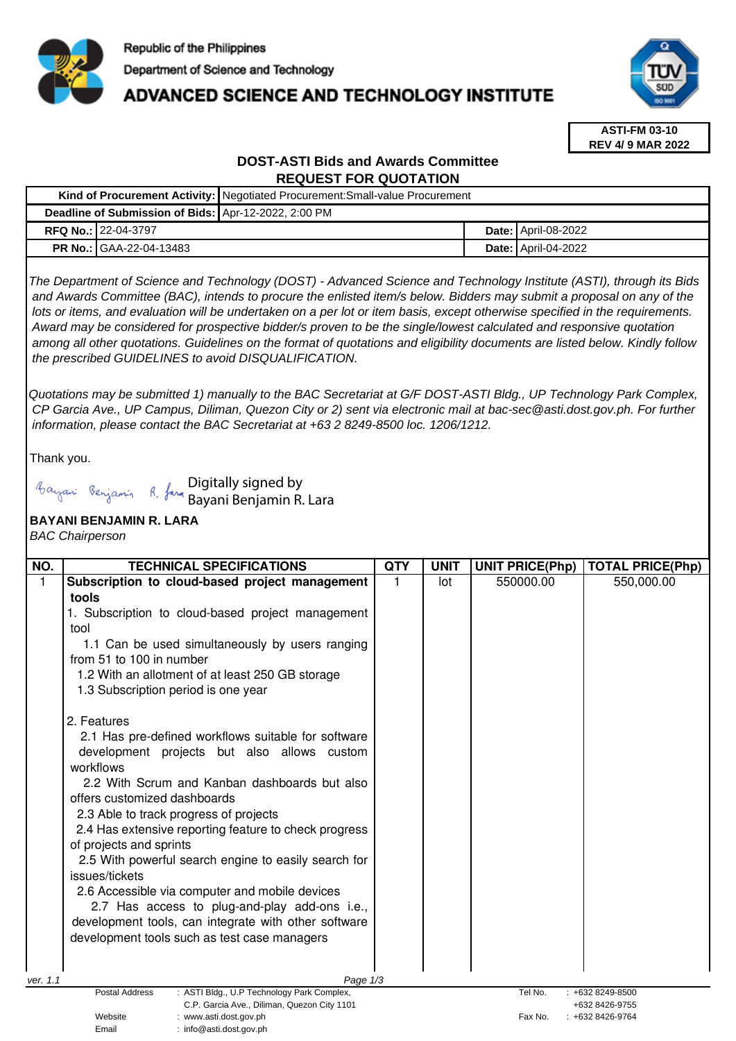

# **ADVANCED SCIENCE AND TECHNOLOGY INSTITUTE**



**ASTI-FM 03-10 REV 4/ 9 MAR 2022**

## **DOST-ASTI Bids and Awards Committee REQUEST FOR QUOTATION**

|                                                      |                                | Kind of Procurement Activity: Negotiated Procurement: Small-value Procurement |  |                              |  |  |
|------------------------------------------------------|--------------------------------|-------------------------------------------------------------------------------|--|------------------------------|--|--|
| Deadline of Submission of Bids: Apr-12-2022, 2:00 PM |                                |                                                                               |  |                              |  |  |
|                                                      | RFQ No.: 22-04-3797            |                                                                               |  | <b>Date:   April-08-2022</b> |  |  |
|                                                      | <b>PR No.: GAA-22-04-13483</b> |                                                                               |  | <b>Date: April-04-2022</b>   |  |  |

The Department of Science and Technology (DOST) - Advanced Science and Technology Institute (ASTI), through its Bids and Awards Committee (BAC), intends to procure the enlisted item/s below. Bidders may submit a proposal on any of the lots or items, and evaluation will be undertaken on a per lot or item basis, except otherwise specified in the requirements. Award may be considered for prospective bidder/s proven to be the single/lowest calculated and responsive quotation among all other quotations. Guidelines on the format of quotations and eligibility documents are listed below. Kindly follow the prescribed GUIDELINES to avoid DISQUALIFICATION.

Quotations may be submitted 1) manually to the BAC Secretariat at G/F DOST-ASTI Bldg., UP Technology Park Complex, CP Garcia Ave., UP Campus, Diliman, Quezon City or 2) sent via electronic mail at bac-sec@asti.dost.gov.ph. For further information, please contact the BAC Secretariat at +63 2 8249-8500 loc. 1206/1212.

Thank you.

Digitally signed by

Bayani Benjamin R. Lara

# **BAYANI BENJAMIN R. LARA**

BAC Chairperson

| NO.      | <b>TECHNICAL SPECIFICATIONS</b>                                                                                                 | <b>QTY</b> | <b>UNIT</b> | <b>UNIT PRICE(Php)</b> | <b>TOTAL PRICE(Php)</b>          |
|----------|---------------------------------------------------------------------------------------------------------------------------------|------------|-------------|------------------------|----------------------------------|
| 1        | Subscription to cloud-based project management                                                                                  |            | lot         | 550000.00              | 550,000.00                       |
|          | tools                                                                                                                           |            |             |                        |                                  |
|          | 1. Subscription to cloud-based project management<br>tool                                                                       |            |             |                        |                                  |
|          | 1.1 Can be used simultaneously by users ranging<br>from 51 to 100 in number<br>1.2 With an allotment of at least 250 GB storage |            |             |                        |                                  |
|          | 1.3 Subscription period is one year                                                                                             |            |             |                        |                                  |
|          | 2. Features                                                                                                                     |            |             |                        |                                  |
|          | 2.1 Has pre-defined workflows suitable for software<br>development projects but also allows custom<br>workflows                 |            |             |                        |                                  |
|          | 2.2 With Scrum and Kanban dashboards but also<br>offers customized dashboards                                                   |            |             |                        |                                  |
|          | 2.3 Able to track progress of projects                                                                                          |            |             |                        |                                  |
|          | 2.4 Has extensive reporting feature to check progress<br>of projects and sprints                                                |            |             |                        |                                  |
|          | 2.5 With powerful search engine to easily search for                                                                            |            |             |                        |                                  |
|          | issues/tickets                                                                                                                  |            |             |                        |                                  |
|          | 2.6 Accessible via computer and mobile devices                                                                                  |            |             |                        |                                  |
|          | 2.7 Has access to plug-and-play add-ons i.e.,                                                                                   |            |             |                        |                                  |
|          | development tools, can integrate with other software                                                                            |            |             |                        |                                  |
|          | development tools such as test case managers                                                                                    |            |             |                        |                                  |
| ver. 1.1 | Page 1/3                                                                                                                        |            |             |                        |                                  |
|          | : ASTI Bldg., U.P Technology Park Complex,<br><b>Postal Address</b><br>C.P. Garcia Ave., Diliman, Quezon City 1101              |            |             | Tel No.                | +632 8249-8500<br>+632 8426-9755 |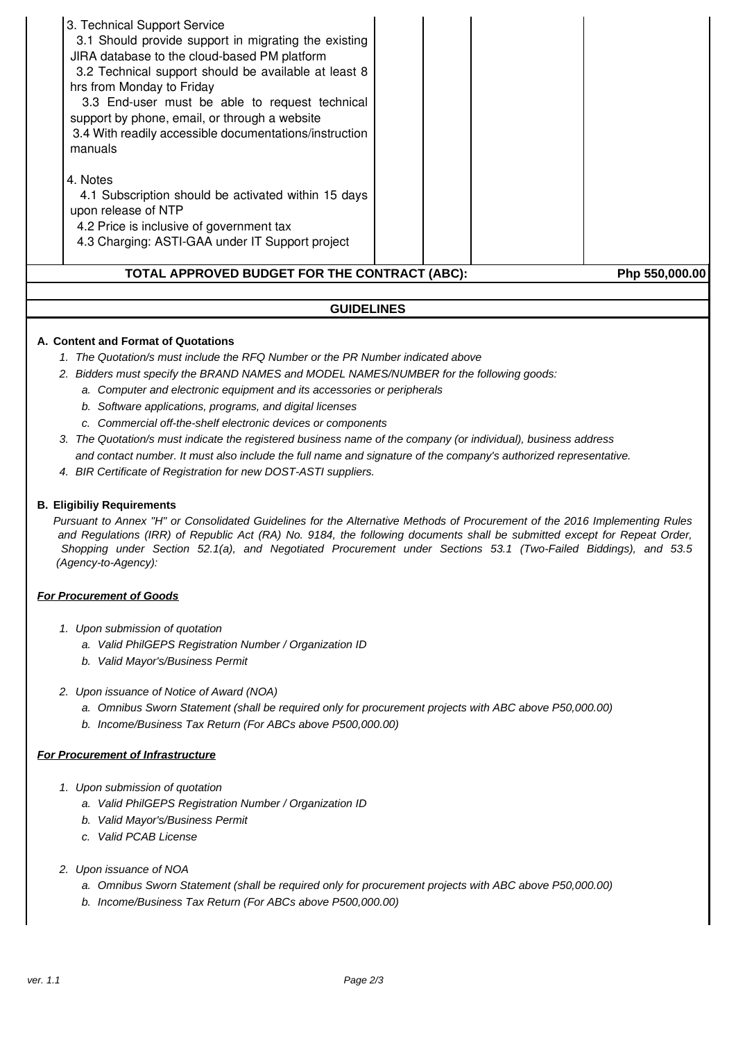| 3. Technical Support Service<br>3.1 Should provide support in migrating the existing<br>JIRA database to the cloud-based PM platform<br>3.2 Technical support should be available at least 8<br>hrs from Monday to Friday<br>3.3 End-user must be able to request technical<br>support by phone, email, or through a website<br>3.4 With readily accessible documentations/instruction<br>manuals<br>4. Notes<br>4.1 Subscription should be activated within 15 days<br>upon release of NTP<br>4.2 Price is inclusive of government tax<br>4.3 Charging: ASTI-GAA under IT Support project |  |                |
|--------------------------------------------------------------------------------------------------------------------------------------------------------------------------------------------------------------------------------------------------------------------------------------------------------------------------------------------------------------------------------------------------------------------------------------------------------------------------------------------------------------------------------------------------------------------------------------------|--|----------------|
| TOTAL APPROVED BUDGET FOR THE CONTRACT (ABC):                                                                                                                                                                                                                                                                                                                                                                                                                                                                                                                                              |  | Php 550,000.00 |

## **GUIDELINES**

#### **A. Content and Format of Quotations**

- 1. The Quotation/s must include the RFQ Number or the PR Number indicated above
- 2. Bidders must specify the BRAND NAMES and MODEL NAMES/NUMBER for the following goods:
	- a. Computer and electronic equipment and its accessories or peripherals
	- b. Software applications, programs, and digital licenses
	- c. Commercial off-the-shelf electronic devices or components
- 3. The Quotation/s must indicate the registered business name of the company (or individual), business address and contact number. It must also include the full name and signature of the company's authorized representative.
- 4. BIR Certificate of Registration for new DOST-ASTI suppliers.

#### **B. Eligibiliy Requirements**

Pursuant to Annex "H" or Consolidated Guidelines for the Alternative Methods of Procurement of the 2016 Implementing Rules and Regulations (IRR) of Republic Act (RA) No. 9184, the following documents shall be submitted except for Repeat Order, Shopping under Section 52.1(a), and Negotiated Procurement under Sections 53.1 (Two-Failed Biddings), and 53.5 (Agency-to-Agency):

#### **For Procurement of Goods**

- 1. Upon submission of quotation
	- a. Valid PhilGEPS Registration Number / Organization ID
	- b. Valid Mayor's/Business Permit
- 2. Upon issuance of Notice of Award (NOA)
	- a. Omnibus Sworn Statement (shall be required only for procurement projects with ABC above P50,000.00)
	- b. Income/Business Tax Return (For ABCs above P500,000.00)

#### **For Procurement of Infrastructure**

- 1. Upon submission of quotation
	- a. Valid PhilGEPS Registration Number / Organization ID
	- b. Valid Mayor's/Business Permit
	- c. Valid PCAB License
- 2. Upon issuance of NOA
	- a. Omnibus Sworn Statement (shall be required only for procurement projects with ABC above P50,000.00)
	- b. Income/Business Tax Return (For ABCs above P500,000.00)